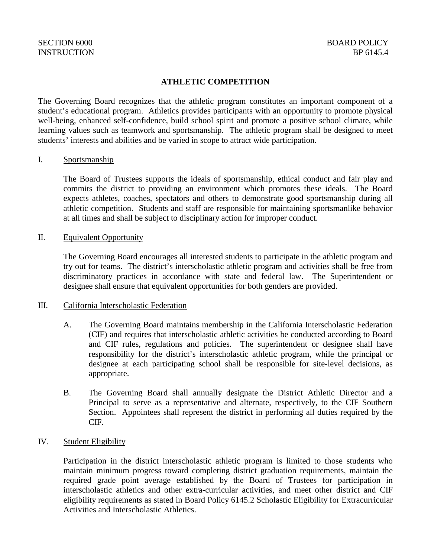## **ATHLETIC COMPETITION**

The Governing Board recognizes that the athletic program constitutes an important component of a student's educational program. Athletics provides participants with an opportunity to promote physical well-being, enhanced self-confidence, build school spirit and promote a positive school climate, while learning values such as teamwork and sportsmanship. The athletic program shall be designed to meet students' interests and abilities and be varied in scope to attract wide participation.

### I. Sportsmanship

The Board of Trustees supports the ideals of sportsmanship, ethical conduct and fair play and commits the district to providing an environment which promotes these ideals. The Board expects athletes, coaches, spectators and others to demonstrate good sportsmanship during all athletic competition. Students and staff are responsible for maintaining sportsmanlike behavior at all times and shall be subject to disciplinary action for improper conduct.

### II. Equivalent Opportunity

The Governing Board encourages all interested students to participate in the athletic program and try out for teams. The district's interscholastic athletic program and activities shall be free from discriminatory practices in accordance with state and federal law. The Superintendent or designee shall ensure that equivalent opportunities for both genders are provided.

#### III. California Interscholastic Federation

- A. The Governing Board maintains membership in the California Interscholastic Federation (CIF) and requires that interscholastic athletic activities be conducted according to Board and CIF rules, regulations and policies. The superintendent or designee shall have responsibility for the district's interscholastic athletic program, while the principal or designee at each participating school shall be responsible for site-level decisions, as appropriate.
- B. The Governing Board shall annually designate the District Athletic Director and a Principal to serve as a representative and alternate, respectively, to the CIF Southern Section. Appointees shall represent the district in performing all duties required by the CIF.

## IV. Student Eligibility

Participation in the district interscholastic athletic program is limited to those students who maintain minimum progress toward completing district graduation requirements, maintain the required grade point average established by the Board of Trustees for participation in interscholastic athletics and other extra-curricular activities, and meet other district and CIF eligibility requirements as stated in Board Policy 6145.2 Scholastic Eligibility for Extracurricular Activities and Interscholastic Athletics.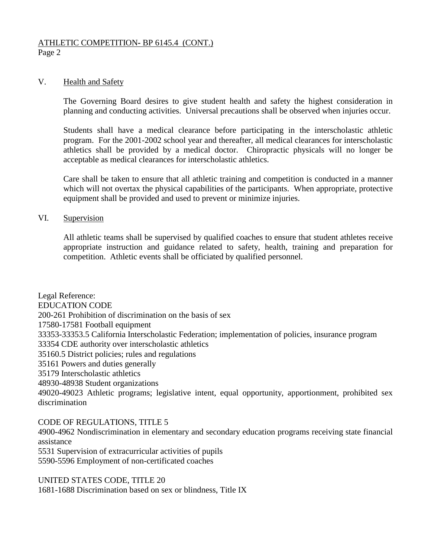## ATHLETIC COMPETITION**-** BP 6145.4 (CONT.)

Page 2

## V. Health and Safety

The Governing Board desires to give student health and safety the highest consideration in planning and conducting activities. Universal precautions shall be observed when injuries occur.

Students shall have a medical clearance before participating in the interscholastic athletic program. For the 2001-2002 school year and thereafter, all medical clearances for interscholastic athletics shall be provided by a medical doctor. Chiropractic physicals will no longer be acceptable as medical clearances for interscholastic athletics.

Care shall be taken to ensure that all athletic training and competition is conducted in a manner which will not overtax the physical capabilities of the participants. When appropriate, protective equipment shall be provided and used to prevent or minimize injuries.

### VI. Supervision

All athletic teams shall be supervised by qualified coaches to ensure that student athletes receive appropriate instruction and guidance related to safety, health, training and preparation for competition. Athletic events shall be officiated by qualified personnel.

Legal Reference: EDUCATION CODE 200-261 Prohibition of discrimination on the basis of sex 17580-17581 Football equipment 33353-33353.5 California Interscholastic Federation; implementation of policies, insurance program 33354 CDE authority over interscholastic athletics 35160.5 District policies; rules and regulations 35161 Powers and duties generally 35179 Interscholastic athletics 48930-48938 Student organizations 49020-49023 Athletic programs; legislative intent, equal opportunity, apportionment, prohibited sex discrimination

CODE OF REGULATIONS, TITLE 5

4900-4962 Nondiscrimination in elementary and secondary education programs receiving state financial assistance

5531 Supervision of extracurricular activities of pupils

5590-5596 Employment of non-certificated coaches

UNITED STATES CODE, TITLE 20

1681-1688 Discrimination based on sex or blindness, Title IX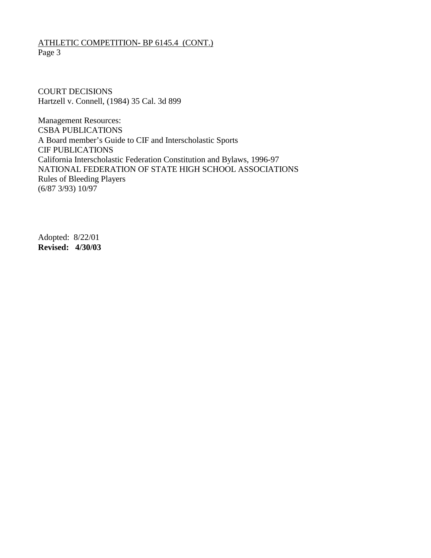## ATHLETIC COMPETITION**-** BP 6145.4 (CONT.) Page 3

COURT DECISIONS Hartzell v. Connell, (1984) 35 Cal. 3d 899

Management Resources: CSBA PUBLICATIONS A Board member's Guide to CIF and Interscholastic Sports CIF PUBLICATIONS California Interscholastic Federation Constitution and Bylaws, 1996-97 NATIONAL FEDERATION OF STATE HIGH SCHOOL ASSOCIATIONS Rules of Bleeding Players (6/87 3/93) 10/97

Adopted: 8/22/01 **Revised: 4/30/03**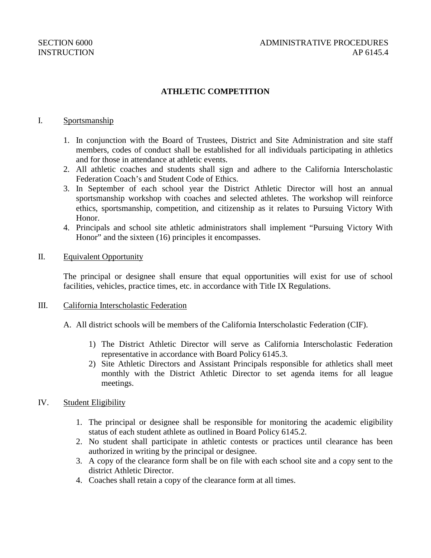## **ATHLETIC COMPETITION**

### I. Sportsmanship

- 1. In conjunction with the Board of Trustees, District and Site Administration and site staff members, codes of conduct shall be established for all individuals participating in athletics and for those in attendance at athletic events.
- 2. All athletic coaches and students shall sign and adhere to the California Interscholastic Federation Coach's and Student Code of Ethics.
- 3. In September of each school year the District Athletic Director will host an annual sportsmanship workshop with coaches and selected athletes. The workshop will reinforce ethics, sportsmanship, competition, and citizenship as it relates to Pursuing Victory With Honor.
- 4. Principals and school site athletic administrators shall implement "Pursuing Victory With Honor" and the sixteen (16) principles it encompasses.

### II. Equivalent Opportunity

The principal or designee shall ensure that equal opportunities will exist for use of school facilities, vehicles, practice times, etc. in accordance with Title IX Regulations.

#### III. California Interscholastic Federation

- A. All district schools will be members of the California Interscholastic Federation (CIF).
	- 1) The District Athletic Director will serve as California Interscholastic Federation representative in accordance with Board Policy 6145.3.
	- 2) Site Athletic Directors and Assistant Principals responsible for athletics shall meet monthly with the District Athletic Director to set agenda items for all league meetings.

## IV. Student Eligibility

- 1. The principal or designee shall be responsible for monitoring the academic eligibility status of each student athlete as outlined in Board Policy 6145.2.
- 2. No student shall participate in athletic contests or practices until clearance has been authorized in writing by the principal or designee.
- 3. A copy of the clearance form shall be on file with each school site and a copy sent to the district Athletic Director.
- 4. Coaches shall retain a copy of the clearance form at all times.